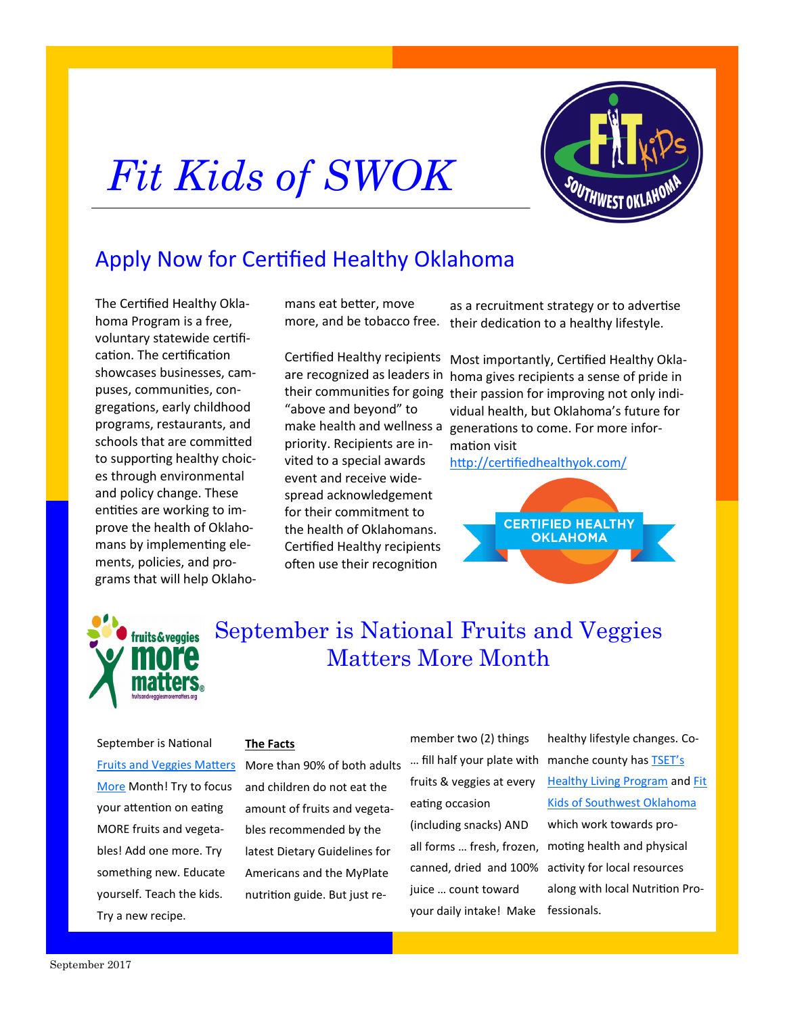# *Fit Kids of SWOK*



## Apply Now for Certified Healthy Oklahoma

The Certified Healthy Oklahoma Program is a free, voluntary statewide certification. The certification showcases businesses, campuses, communities, congregations, early childhood programs, restaurants, and schools that are committed to supporting healthy choices through environmental and policy change. These entities are working to improve the health of Oklahomans by implementing elements, policies, and programs that will help Oklahomans eat better, move more, and be tobacco free.

Certified Healthy recipients are recognized as leaders in "above and beyond" to make health and wellness a priority. Recipients are invited to a special awards event and receive widespread acknowledgement for their commitment to the health of Oklahomans. Certified Healthy recipients often use their recognition

as a recruitment strategy or to advertise their dedication to a healthy lifestyle.

their communities for going their passion for improving not only indi-Most importantly, Certified Healthy Oklahoma gives recipients a sense of pride in vidual health, but Oklahoma's future for generations to come. For more information visit

<http://certifiedhealthyok.com/>





September is National Fruits and Veggies Matters More Month

September is National [More](http://www.fruitsandveggiesmorematters.org/) Month! Try to focus your attention on eating MORE fruits and vegetables! Add one more. Try something new. Educate yourself. Teach the kids. Try a new recipe.

#### **The Facts**

[Fruits and Veggies Matters](http://www.fruitsandveggiesmorematters.org/) More than 90% of both adults and children do not eat the amount of fruits and vegetables recommended by the latest Dietary Guidelines for Americans and the MyPlate nutrition guide. But just re-

member two (2) things fruits & veggies at every eating occasion

(including snacks) AND all forms … fresh, frozen, juice … count toward your daily intake! Make fessionals.

... fill half your plate with manche county has **TSET's** canned, dried and 100% activity for local resources healthy lifestyle changes. Co-[Healthy Living Program](https://www.facebook.com/TSETHLPComanche/) and [Fit](https://www.facebook.com/FitKidsofSWOK/)  [Kids of Southwest Oklahoma](https://www.facebook.com/FitKidsofSWOK/) which work towards promoting health and physical along with local Nutrition Pro-